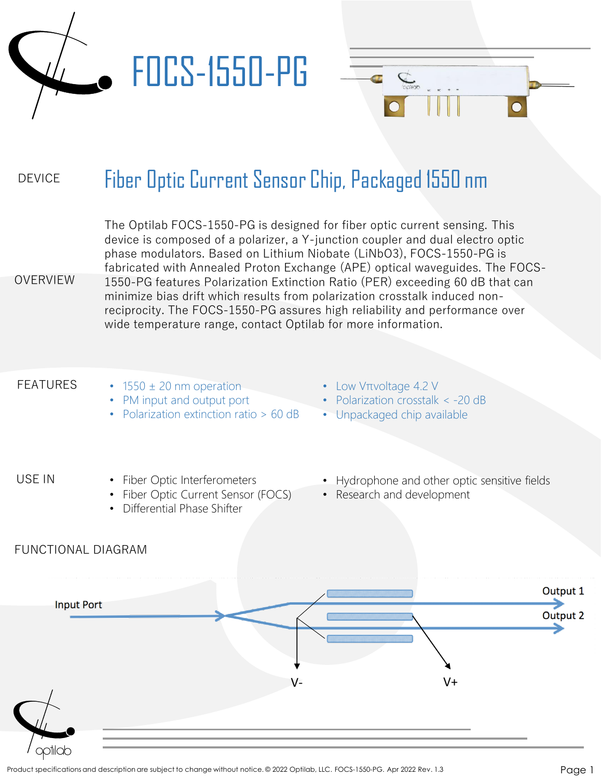

#### DEVICE Fiber Optic Current Sensor Chip, Packaged 1550 nm

The Optilab FOCS-1550-PG is designed for fiber optic current sensing. This device is composed of a polarizer, a Y-junction coupler and dual electro optic phase modulators. Based on Lithium Niobate (LiNbO3), FOCS-1550-PG is fabricated with Annealed Proton Exchange (APE) optical waveguides. The FOCS-1550-PG features Polarization Extinction Ratio (PER) exceeding 60 dB that can minimize bias drift which results from polarization crosstalk induced nonreciprocity. The FOCS-1550-PG assures high reliability and performance over wide temperature range, contact Optilab for more information.

#### FEATURES

OVERVIEW

- $\cdot$  1550  $\pm$  20 nm operation
- PM input and output port
- Polarization extinction ratio > 60 dB
- Low Vπvoltage 4.2 V

- Polarization crosstalk < -20 dB
- Unpackaged chip available

### USE IN

- Fiber Optic Interferometers
- Fiber Optic Current Sensor (FOCS)
- Differential Phase Shifter
- Hydrophone and other optic sensitive fields
- Research and development

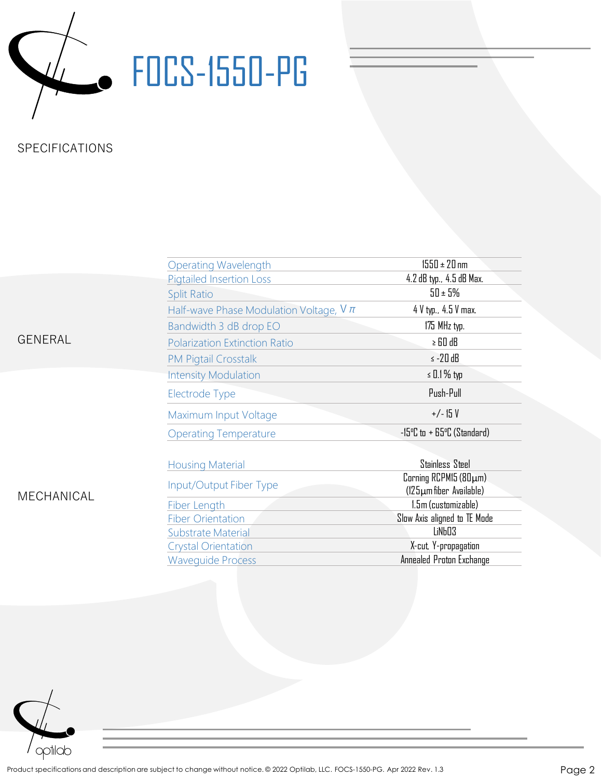

# **W.** FOCS-1550-PG

## SPECIFICATIONS

|                | <b>Operating Wavelength</b>                 | $1550 \pm 20$ nm                                                |
|----------------|---------------------------------------------|-----------------------------------------------------------------|
| <b>GENERAL</b> | <b>Pigtailed Insertion Loss</b>             | 4.2 dB typ., 4.5 dB Max.                                        |
|                | <b>Split Ratio</b>                          | $50 \pm 5\%$                                                    |
|                | Half-wave Phase Modulation Voltage, $V \pi$ | 4 V typ., 4.5 V max.                                            |
|                | Bandwidth 3 dB drop EO                      | 175 MHz typ.                                                    |
|                | <b>Polarization Extinction Ratio</b>        | $\ge$ 60 dB                                                     |
|                | <b>PM Pigtail Crosstalk</b>                 | $\le$ -20 dB                                                    |
| MECHANICAL     | <b>Intensity Modulation</b>                 | $\le$ 0.1 % typ                                                 |
|                | Electrode Type                              | Push-Pull                                                       |
|                | Maximum Input Voltage                       | $+/- 15V$                                                       |
|                | <b>Operating Temperature</b>                | $-15^{\circ}$ C to $+65^{\circ}$ C (Standard)                   |
|                | <b>Housing Material</b>                     | Stainless Steel                                                 |
|                | Input/Output Fiber Type                     | $\Gamma$ Corning RCPM15 (80 $\mu$ m)<br>(125µm fiber Available) |
|                | Fiber Length                                | 1.5m (customizable)                                             |
|                | <b>Fiber Orientation</b>                    | Slow Axis aligned to TE Mode                                    |
|                | Substrate Material                          | LiNb03                                                          |
|                | <b>Crystal Orientation</b>                  | X-cut, Y-propagation                                            |
|                | <b>Wavequide Process</b>                    | Annealed Proton Exchange                                        |